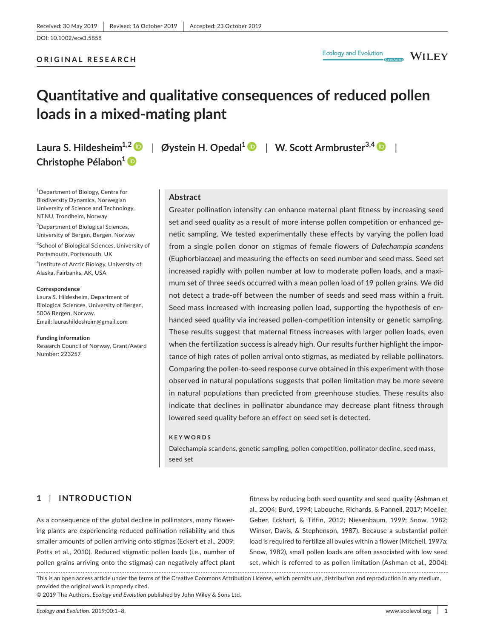#### **ORIGINAL RESEARCH**

**WILEY** 

## **Quantitative and qualitative consequences of reduced pollen loads in a mixed-mating plant**

# **Christophe Pélabon1**

1 Department of Biology, Centre for Biodiversity Dynamics, Norwegian University of Science and Technology, NTNU, Trondheim, Norway

<sup>2</sup>Department of Biological Sciences, University of Bergen, Bergen, Norway

<sup>3</sup>School of Biological Sciences, University of Portsmouth, Portsmouth, UK

4 Institute of Arctic Biology, University of Alaska, Fairbanks, AK, USA

#### **Correspondence**

Laura S. Hildesheim, Department of Biological Sciences, University of Bergen, 5006 Bergen, Norway. Email: [laurashildesheim@gmail.com](mailto:laurashildesheim@gmail.com)

**Funding information** Research Council of Norway, Grant/Award Number: 223257

### **Laura S. Hildesheim1,2** | **Øystein H. Opedal[1](https://orcid.org/0000-0002-7841-6933)** | **W. Scott Armbruster3,[4](https://orcid.org/0000-0001-8057-4116)** |

#### **Abstract**

Greater pollination intensity can enhance maternal plant fitness by increasing seed set and seed quality as a result of more intense pollen competition or enhanced genetic sampling. We tested experimentally these effects by varying the pollen load from a single pollen donor on stigmas of female flowers of *Dalechampia scandens* (Euphorbiaceae) and measuring the effects on seed number and seed mass. Seed set increased rapidly with pollen number at low to moderate pollen loads, and a maximum set of three seeds occurred with a mean pollen load of 19 pollen grains. We did not detect a trade-off between the number of seeds and seed mass within a fruit. Seed mass increased with increasing pollen load, supporting the hypothesis of enhanced seed quality via increased pollen-competition intensity or genetic sampling. These results suggest that maternal fitness increases with larger pollen loads, even when the fertilization success is already high. Our results further highlight the importance of high rates of pollen arrival onto stigmas, as mediated by reliable pollinators. Comparing the pollen-to-seed response curve obtained in this experiment with those observed in natural populations suggests that pollen limitation may be more severe in natural populations than predicted from greenhouse studies. These results also indicate that declines in pollinator abundance may decrease plant fitness through lowered seed quality before an effect on seed set is detected.

#### **KEYWORDS**

Dalechampia scandens, genetic sampling, pollen competition, pollinator decline, seed mass, seed set

#### **1** | **INTRODUCTION**

As a consequence of the global decline in pollinators, many flowering plants are experiencing reduced pollination reliability and thus smaller amounts of pollen arriving onto stigmas (Eckert et al., 2009; Potts et al., 2010). Reduced stigmatic pollen loads (i.e., number of pollen grains arriving onto the stigmas) can negatively affect plant

fitness by reducing both seed quantity and seed quality (Ashman et al., 2004; Burd, 1994; Labouche, Richards, & Pannell, 2017; Moeller, Geber, Eckhart, & Tiffin, 2012; Niesenbaum, 1999; Snow, 1982; Winsor, Davis, & Stephenson, 1987). Because a substantial pollen load is required to fertilize all ovules within a flower (Mitchell, 1997a; Snow, 1982), small pollen loads are often associated with low seed set, which is referred to as pollen limitation (Ashman et al., 2004).

This is an open access article under the terms of the [Creative Commons Attribution](http://creativecommons.org/licenses/by/4.0/) License, which permits use, distribution and reproduction in any medium, provided the original work is properly cited.

© 2019 The Authors. *Ecology and Evolution* published by John Wiley & Sons Ltd.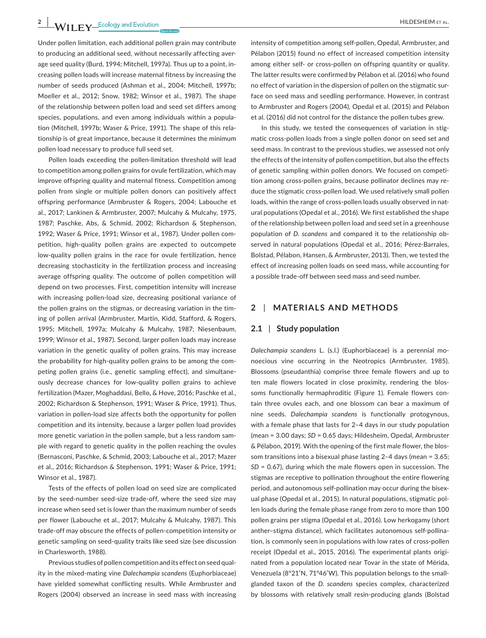Under pollen limitation, each additional pollen grain may contribute to producing an additional seed, without necessarily affecting average seed quality (Burd, 1994; Mitchell, 1997a). Thus up to a point, increasing pollen loads will increase maternal fitness by increasing the number of seeds produced (Ashman et al., 2004; Mitchell, 1997b; Moeller et al., 2012; Snow, 1982; Winsor et al., 1987). The shape of the relationship between pollen load and seed set differs among species, populations, and even among individuals within a population (Mitchell, 1997b; Waser & Price, 1991). The shape of this relationship is of great importance, because it determines the minimum pollen load necessary to produce full seed set.

Pollen loads exceeding the pollen-limitation threshold will lead to competition among pollen grains for ovule fertilization, which may improve offspring quality and maternal fitness. Competition among pollen from single or multiple pollen donors can positively affect offspring performance (Armbruster & Rogers, 2004; Labouche et al., 2017; Lankinen & Armbruster, 2007; Mulcahy & Mulcahy, 1975, 1987; Paschke, Abs, & Schmid, 2002; Richardson & Stephenson, 1992; Waser & Price, 1991; Winsor et al., 1987). Under pollen competition, high-quality pollen grains are expected to outcompete low-quality pollen grains in the race for ovule fertilization, hence decreasing stochasticity in the fertilization process and increasing average offspring quality. The outcome of pollen competition will depend on two processes. First, competition intensity will increase with increasing pollen-load size, decreasing positional variance of the pollen grains on the stigmas, or decreasing variation in the timing of pollen arrival (Armbruster, Martin, Kidd, Stafford, & Rogers, 1995; Mitchell, 1997a; Mulcahy & Mulcahy, 1987; Niesenbaum, 1999; Winsor et al., 1987). Second, larger pollen loads may increase variation in the genetic quality of pollen grains. This may increase the probability for high-quality pollen grains to be among the competing pollen grains (i.e., genetic sampling effect), and simultaneously decrease chances for low-quality pollen grains to achieve fertilization (Mazer, Moghaddasi, Bello, & Hove, 2016; Paschke et al., 2002; Richardson & Stephenson, 1991; Waser & Price, 1991). Thus, variation in pollen-load size affects both the opportunity for pollen competition and its intensity, because a larger pollen load provides more genetic variation in the pollen sample, but a less random sample with regard to genetic quality in the pollen reaching the ovules (Bernasconi, Paschke, & Schmid, 2003; Labouche et al., 2017; Mazer et al., 2016; Richardson & Stephenson, 1991; Waser & Price, 1991; Winsor et al., 1987).

Tests of the effects of pollen load on seed size are complicated by the seed-number seed-size trade-off, where the seed size may increase when seed set is lower than the maximum number of seeds per flower (Labouche et al., 2017; Mulcahy & Mulcahy, 1987). This trade-off may obscure the effects of pollen-competition intensity or genetic sampling on seed-quality traits like seed size (see discussion in Charlesworth, 1988).

Previous studies of pollen competition and its effect on seed quality in the mixed-mating vine *Dalechampia scandens* (Euphorbiaceae) have yielded somewhat conflicting results. While Armbruster and Rogers (2004) observed an increase in seed mass with increasing intensity of competition among self-pollen, Opedal, Armbruster, and Pélabon (2015) found no effect of increased competition intensity among either self- or cross-pollen on offspring quantity or quality. The latter results were confirmed by Pélabon et al. (2016) who found no effect of variation in the dispersion of pollen on the stigmatic surface on seed mass and seedling performance. However, in contrast to Armbruster and Rogers (2004), Opedal et al. (2015) and Pélabon et al. (2016) did not control for the distance the pollen tubes grew.

In this study, we tested the consequences of variation in stigmatic cross-pollen loads from a single pollen donor on seed set and seed mass. In contrast to the previous studies, we assessed not only the effects of the intensity of pollen competition, but also the effects of genetic sampling within pollen donors. We focused on competition among cross-pollen grains, because pollinator declines may reduce the stigmatic cross-pollen load. We used relatively small pollen loads, within the range of cross-pollen loads usually observed in natural populations (Opedal et al., 2016). We first established the shape of the relationship between pollen load and seed set in a greenhouse population of *D. scandens* and compared it to the relationship observed in natural populations (Opedal et al., 2016; Pérez-Barrales, Bolstad, Pélabon, Hansen, & Armbruster, 2013). Then, we tested the effect of increasing pollen loads on seed mass, while accounting for a possible trade-off between seed mass and seed number.

#### **2** | **MATERIALS AND METHODS**

#### **2.1** | **Study population**

*Dalechampia scandens* L. (s.l.) (Euphorbiaceae) is a perennial monoecious vine occurring in the Neotropics (Armbruster, 1985). Blossoms (pseudanthia) comprise three female flowers and up to ten male flowers located in close proximity, rendering the blossoms functionally hermaphroditic (Figure 1). Female flowers contain three ovules each, and one blossom can bear a maximum of nine seeds. *Dalechampia scandens* is functionally protogynous, with a female phase that lasts for 2–4 days in our study population (mean = 3.00 days; *SD* = 0.65 days; Hildesheim, Opedal, Armbruster & Pélabon, 2019). With the opening of the first male flower, the blossom transitions into a bisexual phase lasting 2–4 days (mean = 3.65; *SD* = 0.67), during which the male flowers open in succession. The stigmas are receptive to pollination throughout the entire flowering period, and autonomous self-pollination may occur during the bisexual phase (Opedal et al., 2015). In natural populations, stigmatic pollen loads during the female phase range from zero to more than 100 pollen grains per stigma (Opedal et al., 2016). Low herkogamy (short anther–stigma distance), which facilitates autonomous self-pollination, is commonly seen in populations with low rates of cross-pollen receipt (Opedal et al., 2015, 2016). The experimental plants originated from a population located near Tovar in the state of Mérida, Venezuela (8°21′N, 71°46′W). This population belongs to the smallglanded taxon of the *D. scandens* species complex, characterized by blossoms with relatively small resin-producing glands (Bolstad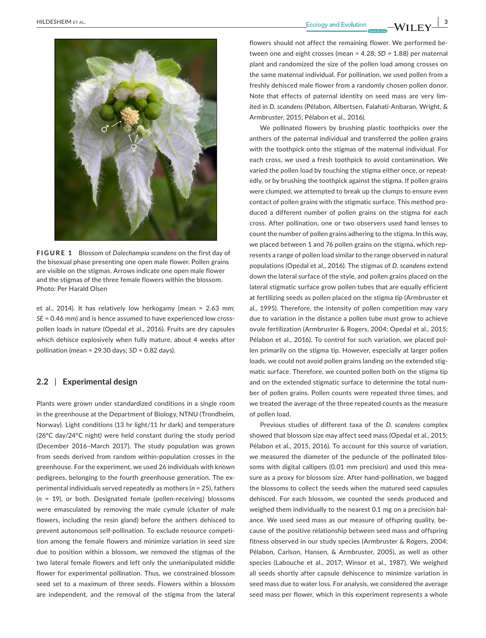

**FIGURE 1** Blossom of *Dalechampia scandens* on the first day of the bisexual phase presenting one open male flower. Pollen grains are visible on the stigmas. Arrows indicate one open male flower and the stigmas of the three female flowers within the blossom. Photo: Per Harald Olsen

et al., 2014). It has relatively low herkogamy (mean = 2.63 mm; *SE* = 0.46 mm) and is hence assumed to have experienced low crosspollen loads in nature (Opedal et al., 2016). Fruits are dry capsules which dehisce explosively when fully mature, about 4 weeks after pollination (mean = 29.30 days; *SD* = 0.82 days).

#### **2.2** | **Experimental design**

Plants were grown under standardized conditions in a single room in the greenhouse at the Department of Biology, NTNU (Trondheim, Norway). Light conditions (13 hr light/11 hr dark) and temperature (26°C day/24°C night) were held constant during the study period (December 2016–March 2017). The study population was grown from seeds derived from random within-population crosses in the greenhouse. For the experiment, we used 26 individuals with known pedigrees, belonging to the fourth greenhouse generation. The experimental individuals served repeatedly as mothers (*n* = 25), fathers (*n* = 19), or both. Designated female (pollen-receiving) blossoms were emasculated by removing the male cymule (cluster of male flowers, including the resin gland) before the anthers dehisced to prevent autonomous self-pollination. To exclude resource competition among the female flowers and minimize variation in seed size due to position within a blossom, we removed the stigmas of the two lateral female flowers and left only the unmanipulated middle flower for experimental pollination. Thus, we constrained blossom seed set to a maximum of three seeds. Flowers within a blossom are independent, and the removal of the stigma from the lateral

 **<u>Ecology</u> and Evolution Contract ALGO CONSUMERTY CONSUMERTY** 

flowers should not affect the remaining flower. We performed between one and eight crosses (mean = 4.28; *SD* = 1.88) per maternal plant and randomized the size of the pollen load among crosses on the same maternal individual. For pollination, we used pollen from a freshly dehisced male flower from a randomly chosen pollen donor. Note that effects of paternal identity on seed mass are very limited in *D. scandens* (Pélabon, Albertsen, Falahati-Anbaran, Wright, & Armbruster, 2015; Pélabon et al., 2016).

We pollinated flowers by brushing plastic toothpicks over the anthers of the paternal individual and transferred the pollen grains with the toothpick onto the stigmas of the maternal individual. For each cross, we used a fresh toothpick to avoid contamination. We varied the pollen load by touching the stigma either once, or repeatedly, or by brushing the toothpick against the stigma. If pollen grains were clumped, we attempted to break up the clumps to ensure even contact of pollen grains with the stigmatic surface. This method produced a different number of pollen grains on the stigma for each cross. After pollination, one or two observers used hand lenses to count the number of pollen grains adhering to the stigma. In this way, we placed between 1 and 76 pollen grains on the stigma, which represents a range of pollen load similar to the range observed in natural populations (Opedal et al., 2016). The stigmas of *D. scandens* extend down the lateral surface of the style, and pollen grains placed on the lateral stigmatic surface grow pollen tubes that are equally efficient at fertilizing seeds as pollen placed on the stigma tip (Armbruster et al., 1995). Therefore, the intensity of pollen competition may vary due to variation in the distance a pollen tube must grow to achieve ovule fertilization (Armbruster & Rogers, 2004; Opedal et al., 2015; Pélabon et al., 2016). To control for such variation, we placed pollen primarily on the stigma tip. However, especially at larger pollen loads, we could not avoid pollen grains landing on the extended stigmatic surface. Therefore, we counted pollen both on the stigma tip and on the extended stigmatic surface to determine the total number of pollen grains. Pollen counts were repeated three times, and we treated the average of the three repeated counts as the measure of pollen load.

Previous studies of different taxa of the *D. scandens* complex showed that blossom size may affect seed mass (Opedal et al., 2015; Pélabon et al., 2015, 2016). To account for this source of variation, we measured the diameter of the peduncle of the pollinated blossoms with digital callipers (0.01 mm precision) and used this measure as a proxy for blossom size. After hand-pollination, we bagged the blossoms to collect the seeds when the matured seed capsules dehisced. For each blossom, we counted the seeds produced and weighed them individually to the nearest 0.1 mg on a precision balance. We used seed mass as our measure of offspring quality, because of the positive relationship between seed mass and offspring fitness observed in our study species (Armbruster & Rogers, 2004; Pélabon, Carlson, Hansen, & Armbruster, 2005), as well as other species (Labouche et al., 2017; Winsor et al., 1987). We weighed all seeds shortly after capsule dehiscence to minimize variation in seed mass due to water loss. For analysis, we considered the average seed mass per flower, which in this experiment represents a whole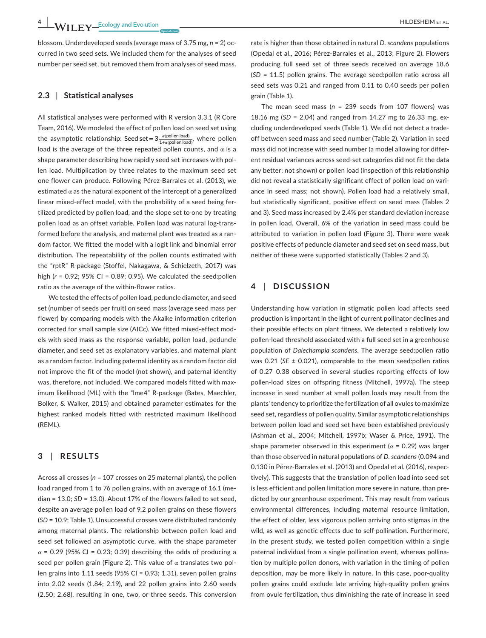blossom. Underdeveloped seeds (average mass of 3.75 mg, *n* = 2) occurred in two seed sets. We included them for the analyses of seed number per seed set, but removed them from analyses of seed mass.

#### **2.3** | **Statistical analyses**

All statistical analyses were performed with R version 3.3.1 (R Core Team, 2016). We modeled the effect of pollen load on seed set using the asymptotic relationship: Seed set =  $3\frac{\alpha({\sf{pollen load}})}{1+\alpha({\sf{pollen load}})}$ , where pollen load is the average of the three repeated pollen counts, and  $\alpha$  is a shape parameter describing how rapidly seed set increases with pollen load. Multiplication by three relates to the maximum seed set one flower can produce. Following Pérez-Barrales et al. (2013), we estimated  $\alpha$  as the natural exponent of the intercept of a generalized linear mixed-effect model, with the probability of a seed being fertilized predicted by pollen load, and the slope set to one by treating pollen load as an offset variable. Pollen load was natural log-transformed before the analysis, and maternal plant was treated as a random factor. We fitted the model with a logit link and binomial error distribution. The repeatability of the pollen counts estimated with the "rptR" R-package (Stoffel, Nakagawa, & Schielzeth, 2017) was high (*r* = 0.92; 95% CI = 0.89; 0.95). We calculated the seed:pollen ratio as the average of the within-flower ratios.

We tested the effects of pollen load, peduncle diameter, and seed set (number of seeds per fruit) on seed mass (average seed mass per flower) by comparing models with the Akaike information criterion corrected for small sample size (AICc). We fitted mixed-effect models with seed mass as the response variable, pollen load, peduncle diameter, and seed set as explanatory variables, and maternal plant as a random factor. Including paternal identity as a random factor did not improve the fit of the model (not shown), and paternal identity was, therefore, not included. We compared models fitted with maximum likelihood (ML) with the "lme4" R-package (Bates, Maechler, Bolker, & Walker, 2015) and obtained parameter estimates for the highest ranked models fitted with restricted maximum likelihood (REML).

#### **3** | **RESULTS**

Across all crosses (*n* = 107 crosses on 25 maternal plants), the pollen load ranged from 1 to 76 pollen grains, with an average of 16.1 (median = 13.0; *SD* = 13.0). About 17% of the flowers failed to set seed, despite an average pollen load of 9.2 pollen grains on these flowers (*SD* = 10.9; Table 1). Unsuccessful crosses were distributed randomly among maternal plants. The relationship between pollen load and seed set followed an asymptotic curve, with the shape parameter *α* = 0.29 (95% CI = 0.23; 0.39) describing the odds of producing a seed per pollen grain (Figure 2). This value of α translates two pollen grains into 1.11 seeds (95% CI = 0.93; 1.31), seven pollen grains into 2.02 seeds (1.84; 2.19), and 22 pollen grains into 2.60 seeds (2.50; 2.68), resulting in one, two, or three seeds. This conversion

rate is higher than those obtained in natural *D. scandens* populations (Opedal et al., 2016; Pérez-Barrales et al., 2013; Figure 2). Flowers producing full seed set of three seeds received on average 18.6 (*SD* = 11.5) pollen grains. The average seed:pollen ratio across all seed sets was 0.21 and ranged from 0.11 to 0.40 seeds per pollen grain (Table 1).

The mean seed mass (*n* = 239 seeds from 107 flowers) was 18.16 mg (*SD* = 2.04) and ranged from 14.27 mg to 26.33 mg, excluding underdeveloped seeds (Table 1). We did not detect a tradeoff between seed mass and seed number (Table 2). Variation in seed mass did not increase with seed number (a model allowing for different residual variances across seed-set categories did not fit the data any better; not shown) or pollen load (inspection of this relationship did not reveal a statistically significant effect of pollen load on variance in seed mass; not shown). Pollen load had a relatively small, but statistically significant, positive effect on seed mass (Tables 2 and 3). Seed mass increased by 2.4% per standard deviation increase in pollen load. Overall, 6% of the variation in seed mass could be attributed to variation in pollen load (Figure 3). There were weak positive effects of peduncle diameter and seed set on seed mass, but neither of these were supported statistically (Tables 2 and 3).

#### **4** | **DISCUSSION**

Understanding how variation in stigmatic pollen load affects seed production is important in the light of current pollinator declines and their possible effects on plant fitness. We detected a relatively low pollen-load threshold associated with a full seed set in a greenhouse population of *Dalechampia scandens*. The average seed:pollen ratio was 0.21 (*SE* ± 0.021), comparable to the mean seed:pollen ratios of 0.27–0.38 observed in several studies reporting effects of low pollen-load sizes on offspring fitness (Mitchell, 1997a). The steep increase in seed number at small pollen loads may result from the plants' tendency to prioritize the fertilization of all ovules to maximize seed set, regardless of pollen quality. Similar asymptotic relationships between pollen load and seed set have been established previously (Ashman et al., 2004; Mitchell, 1997b; Waser & Price, 1991). The shape parameter observed in this experiment ( $\alpha$  = 0.29) was larger than those observed in natural populations of *D. scandens* (0.094 and 0.130 in Pérez-Barrales et al. (2013) and Opedal et al. (2016), respectively). This suggests that the translation of pollen load into seed set is less efficient and pollen limitation more severe in nature, than predicted by our greenhouse experiment. This may result from various environmental differences, including maternal resource limitation, the effect of older, less vigorous pollen arriving onto stigmas in the wild, as well as genetic effects due to self-pollination. Furthermore, in the present study, we tested pollen competition within a single paternal individual from a single pollination event, whereas pollination by multiple pollen donors, with variation in the timing of pollen deposition, may be more likely in nature. In this case, poor-quality pollen grains could exclude late arriving high-quality pollen grains from ovule fertilization, thus diminishing the rate of increase in seed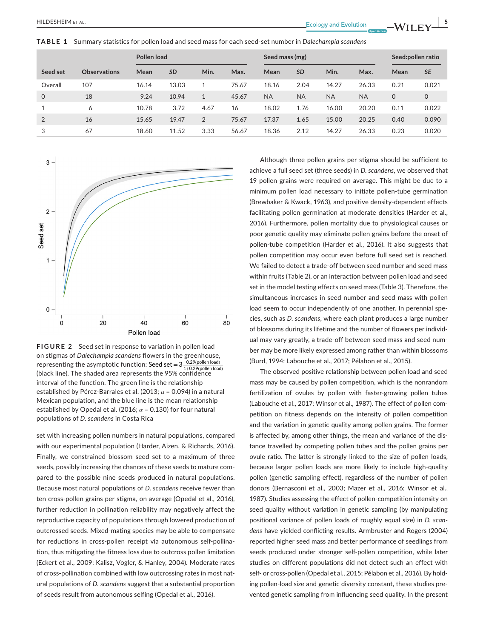**TABLE 1** Summary statistics for pollen load and seed mass for each seed-set number in *Dalechampia scandens*

|          |                     | Pollen load |           |                | Seed mass (mg) |           |           |           | Seed:pollen ratio |         |             |
|----------|---------------------|-------------|-----------|----------------|----------------|-----------|-----------|-----------|-------------------|---------|-------------|
| Seed set | <b>Observations</b> | Mean        | <b>SD</b> | Min.           | Max.           | Mean      | <b>SD</b> | Min.      | Max.              | Mean    | <b>SE</b>   |
| Overall  | 107                 | 16.14       | 13.03     | 1              | 75.67          | 18.16     | 2.04      | 14.27     | 26.33             | 0.21    | 0.021       |
| 0        | 18                  | 9.24        | 10.94     | 1              | 45.67          | <b>NA</b> | <b>NA</b> | <b>NA</b> | <b>NA</b>         | $\circ$ | $\mathbf 0$ |
|          | 6                   | 10.78       | 3.72      | 4.67           | 16             | 18.02     | 1.76      | 16.00     | 20.20             | 0.11    | 0.022       |
| 2        | 16                  | 15.65       | 19.47     | $\overline{2}$ | 75.67          | 17.37     | 1.65      | 15.00     | 20.25             | 0.40    | 0.090       |
| 3        | 67                  | 18.60       | 11.52     | 3.33           | 56.67          | 18.36     | 2.12      | 14.27     | 26.33             | 0.23    | 0.020       |



**FIGURE 2** Seed set in response to variation in pollen load on stigmas of *Dalechampia scandens* flowers in the greenhouse, representing the asymptotic function: Seed set = 3  $\frac{0.29(pollen load)}{1+0.29(pollen load)}$ (black line). The shaded area represents the 95% confidence interval of the function. The green line is the relationship established by Pérez-Barrales et al. (2013; *α* = 0.094) in a natural Mexican population, and the blue line is the mean relationship established by Opedal et al. (2016;  $\alpha$  = 0.130) for four natural populations of *D. scandens* in Costa Rica

set with increasing pollen numbers in natural populations, compared with our experimental population (Harder, Aizen, & Richards, 2016). Finally, we constrained blossom seed set to a maximum of three seeds, possibly increasing the chances of these seeds to mature compared to the possible nine seeds produced in natural populations. Because most natural populations of *D. scandens* receive fewer than ten cross-pollen grains per stigma, on average (Opedal et al., 2016), further reduction in pollination reliability may negatively affect the reproductive capacity of populations through lowered production of outcrossed seeds. Mixed-mating species may be able to compensate for reductions in cross-pollen receipt via autonomous self-pollination, thus mitigating the fitness loss due to outcross pollen limitation (Eckert et al., 2009; Kalisz, Vogler, & Hanley, 2004). Moderate rates of cross-pollination combined with low outcrossing rates in most natural populations of *D. scandens* suggest that a substantial proportion of seeds result from autonomous selfing (Opedal et al., 2016).

Although three pollen grains per stigma should be sufficient to achieve a full seed set (three seeds) in *D. scandens*, we observed that 19 pollen grains were required on average. This might be due to a minimum pollen load necessary to initiate pollen-tube germination (Brewbaker & Kwack, 1963), and positive density-dependent effects facilitating pollen germination at moderate densities (Harder et al., 2016). Furthermore, pollen mortality due to physiological causes or poor genetic quality may eliminate pollen grains before the onset of pollen-tube competition (Harder et al., 2016). It also suggests that pollen competition may occur even before full seed set is reached. We failed to detect a trade-off between seed number and seed mass within fruits (Table 2), or an interaction between pollen load and seed set in the model testing effects on seed mass (Table 3). Therefore, the simultaneous increases in seed number and seed mass with pollen load seem to occur independently of one another. In perennial species, such as *D. scandens*, where each plant produces a large number of blossoms during its lifetime and the number of flowers per individual may vary greatly, a trade-off between seed mass and seed number may be more likely expressed among rather than within blossoms (Burd, 1994; Labouche et al., 2017; Pélabon et al., 2015).

The observed positive relationship between pollen load and seed mass may be caused by pollen competition, which is the nonrandom fertilization of ovules by pollen with faster-growing pollen tubes (Labouche et al., 2017; Winsor et al., 1987). The effect of pollen competition on fitness depends on the intensity of pollen competition and the variation in genetic quality among pollen grains. The former is affected by, among other things, the mean and variance of the distance travelled by competing pollen tubes and the pollen grains per ovule ratio. The latter is strongly linked to the size of pollen loads, because larger pollen loads are more likely to include high-quality pollen (genetic sampling effect), regardless of the number of pollen donors (Bernasconi et al., 2003; Mazer et al., 2016; Winsor et al., 1987). Studies assessing the effect of pollen-competition intensity on seed quality without variation in genetic sampling (by manipulating positional variance of pollen loads of roughly equal size) in *D. scandens* have yielded conflicting results. Armbruster and Rogers (2004) reported higher seed mass and better performance of seedlings from seeds produced under stronger self-pollen competition, while later studies on different populations did not detect such an effect with self- or cross-pollen (Opedal et al., 2015; Pélabon et al., 2016). By holding pollen-load size and genetic diversity constant, these studies prevented genetic sampling from influencing seed quality. In the present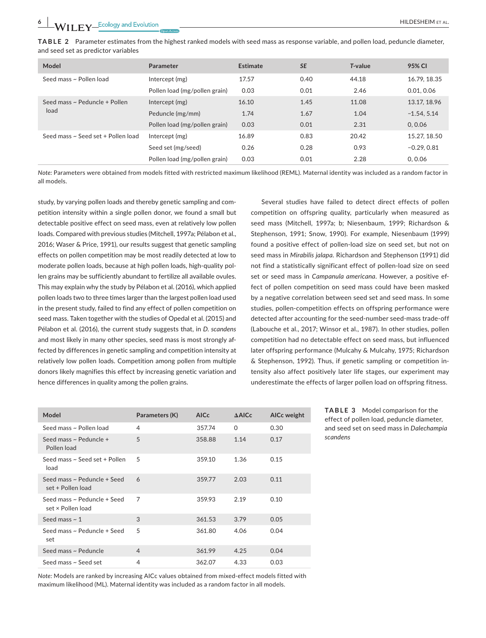**TABLE 2** Parameter estimates from the highest ranked models with seed mass as response variable, and pollen load, peduncle diameter, and seed set as predictor variables

| Model                              | Parameter                     | Estimate | <b>SE</b> | T-value | 95% CI       |
|------------------------------------|-------------------------------|----------|-----------|---------|--------------|
| Seed mass ~ Pollen load            | Intercept (mg)                | 17.57    | 0.40      | 44.18   | 16.79, 18.35 |
|                                    | Pollen load (mg/pollen grain) | 0.03     | 0.01      | 2.46    | 0.01, 0.06   |
| Seed mass ~ Peduncle + Pollen      | Intercept (mg)                | 16.10    | 1.45      | 11.08   | 13.17, 18.96 |
| load                               | Peduncle (mg/mm)              | 1.74     | 1.67      | 1.04    | $-1.54.5.14$ |
|                                    | Pollen load (mg/pollen grain) | 0.03     | 0.01      | 2.31    | 0.0.06       |
| Seed mass ~ Seed set + Pollen load | Intercept (mg)                | 16.89    | 0.83      | 20.42   | 15.27, 18.50 |
|                                    | Seed set (mg/seed)            | 0.26     | 0.28      | 0.93    | $-0.29.0.81$ |
|                                    | Pollen load (mg/pollen grain) | 0.03     | 0.01      | 2.28    | 0.0.06       |

*Note:* Parameters were obtained from models fitted with restricted maximum likelihood (REML). Maternal identity was included as a random factor in all models.

study, by varying pollen loads and thereby genetic sampling and competition intensity within a single pollen donor, we found a small but detectable positive effect on seed mass, even at relatively low pollen loads. Compared with previous studies (Mitchell, 1997a; Pélabon et al., 2016; Waser & Price, 1991), our results suggest that genetic sampling effects on pollen competition may be most readily detected at low to moderate pollen loads, because at high pollen loads, high-quality pollen grains may be sufficiently abundant to fertilize all available ovules. This may explain why the study by Pélabon et al. (2016), which applied pollen loads two to three times larger than the largest pollen load used in the present study, failed to find any effect of pollen competition on seed mass. Taken together with the studies of Opedal et al. (2015) and Pélabon et al. (2016), the current study suggests that, in *D. scandens* and most likely in many other species, seed mass is most strongly affected by differences in genetic sampling and competition intensity at relatively low pollen loads. Competition among pollen from multiple donors likely magnifies this effect by increasing genetic variation and hence differences in quality among the pollen grains.

Several studies have failed to detect direct effects of pollen competition on offspring quality, particularly when measured as seed mass (Mitchell, 1997a; b; Niesenbaum, 1999; Richardson & Stephenson, 1991; Snow, 1990). For example, Niesenbaum (1999) found a positive effect of pollen-load size on seed set, but not on seed mass in *Mirabilis jalapa*. Richardson and Stephenson (1991) did not find a statistically significant effect of pollen-load size on seed set or seed mass in *Campanula americana*. However, a positive effect of pollen competition on seed mass could have been masked by a negative correlation between seed set and seed mass. In some studies, pollen-competition effects on offspring performance were detected after accounting for the seed-number seed-mass trade-off (Labouche et al., 2017; Winsor et al., 1987). In other studies, pollen competition had no detectable effect on seed mass, but influenced later offspring performance (Mulcahy & Mulcahy, 1975; Richardson & Stephenson, 1992). Thus, if genetic sampling or competition intensity also affect positively later life stages, our experiment may underestimate the effects of larger pollen load on offspring fitness.

| Model                                            | Parameters (K) | <b>AICc</b> | $\triangle$ AICc | AICc weight |
|--------------------------------------------------|----------------|-------------|------------------|-------------|
| Seed mass ~ Pollen load                          | 4              | 357.74      | $\Omega$         | 0.30        |
| Seed mass ~ Peduncle +<br>Pollen load            | 5              | 358.88      | 1.14             | 0.17        |
| Seed mass ~ Seed set + Pollen<br>load            | 5              | 359.10      | 1.36             | 0.15        |
| Seed mass ~ Peduncle + Seed<br>set + Pollen load | 6              | 359.77      | 2.03             | 0.11        |
| Seed mass ~ Peduncle + Seed<br>set x Pollen load | $\overline{7}$ | 359.93      | 2.19             | 0.10        |
| Seed mass $\sim$ 1                               | 3              | 361.53      | 3.79             | 0.05        |
| Seed mass ~ Peduncle + Seed<br>set               | 5              | 361.80      | 4.06             | 0.04        |
| Seed mass ~ Peduncle                             | $\overline{4}$ | 361.99      | 4.25             | 0.04        |
| Seed mass ~ Seed set                             | 4              | 362.07      | 4.33             | 0.03        |

**TABLE 3** Model comparison for the effect of pollen load, peduncle diameter, and seed set on seed mass in *Dalechampia scandens*

*Note:* Models are ranked by increasing AICc values obtained from mixed-effect models fitted with maximum likelihood (ML). Maternal identity was included as a random factor in all models.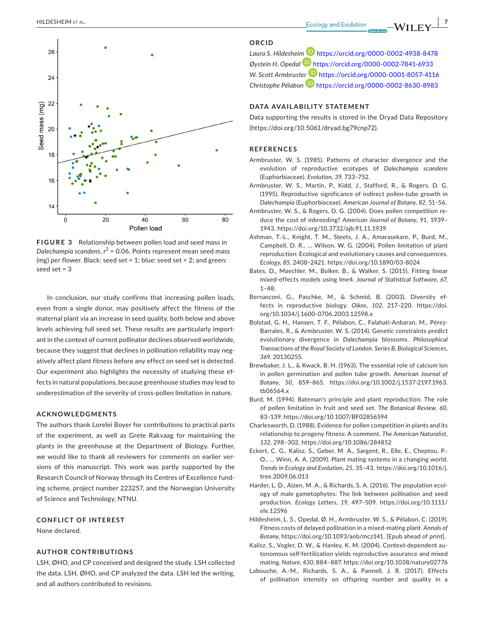

**FIGURE 3** Relationship between pollen load and seed mass in *Dalechampia scandens*, *r* <sup>2</sup> = 0.06. Points represent mean seed mass (mg) per flower. Black: seed set = 1; blue: seed set = 2; and green: seed set = 3

In conclusion, our study confirms that increasing pollen loads, even from a single donor, may positively affect the fitness of the maternal plant via an increase in seed quality, both below and above levels achieving full seed set. These results are particularly important in the context of current pollinator declines observed worldwide, because they suggest that declines in pollination reliability may negatively affect plant fitness before any effect on seed set is detected. Our experiment also highlights the necessity of studying these effects in natural populations, because greenhouse studies may lead to underestimation of the severity of cross-pollen limitation in nature.

#### **ACKNOWLEDGMENTS**

The authors thank Lorelei Boyer for contributions to practical parts of the experiment, as well as Grete Rakvaag for maintaining the plants in the greenhouse at the Department of Biology. Further, we would like to thank all reviewers for comments on earlier versions of this manuscript. This work was partly supported by the Research Council of Norway through its Centres of Excellence funding scheme, project number 223257, and the Norwegian University of Science and Technology, NTNU.

#### **CONFLICT OF INTEREST**

None declared.

#### **AUTHOR CONTRIBUTIONS**

LSH, ØHO, and CP conceived and designed the study. LSH collected the data. LSH, ØHO, and CP analyzed the data. LSH led the writing, and all authors contributed to revisions.

#### **ORCID**

*Laura S. Hildeshei[m](https://orcid.org/0000-0002-7841-6933)* <https://orcid.org/0000-0002-4938-8478> *Øystein H. Opedal* <https://orcid.org/0000-0002-7841-6933> *W. Scott Armbrust[er](https://orcid.org/0000-0002-8630-8983)* <https://orcid.org/0000-0001-8057-4116> *Christophe Pélabon* <https://orcid.org/0000-0002-8630-8983>

#### **DATA AVAILABILITY STATEMENT**

Data supporting the results is stored in the Dryad Data Repository (<https://doi.org/10.5061/dryad.bg79cnp72>).

#### **REFERENCES**

- Armbruster, W. S. (1985). Patterns of character divergence and the evolution of reproductive ecotypes of *Dalechampia scandens* (Euphorbiaceae). *Evolution*, *39*, 733–752.
- Armbruster, W. S., Martin, P., Kidd, J., Stafford, R., & Rogers, D. G. (1995). Reproductive significance of indirect pollen-tube growth in *Dalechampia* (Euphorbiaceae). *American Journal of Botany*, *82*, 51–56.
- Armbruster, W. S., & Rogers, D. G. (2004). Does pollen competition reduce the cost of inbreeding? *American Journal of Botany*, *91*, 1939– 1943. <https://doi.org/10.3732/ajb.91.11.1939>
- Ashman, T.-L., Knight, T. M., Steets, J. A., Amarasekare, P., Burd, M., Campbell, D. R., … Wilson, W. G. (2004). Pollen limitation of plant reproduction: Ecological and evolutionary causes and consequences. *Ecology*, *85*, 2408–2421. <https://doi.org/10.1890/03-8024>
- Bates, D., Maechler, M., Bolker, B., & Walker, S. (2015). Fitting linear mixed-effects models using lme4. *Journal of Statistical Software*, *67*, 1–48.
- Bernasconi, G., Paschke, M., & Schmid, B. (2003). Diversity effects in reproductive biology. *Oikos*, *102*, 217–220. [https://doi.](https://doi.org/10.1034/j.1600-0706.2003.12598.x) [org/10.1034/j.1600-0706.2003.12598.x](https://doi.org/10.1034/j.1600-0706.2003.12598.x)
- Bolstad, G. H., Hansen, T. F., Pélabon, C., Falahati-Anbaran, M., Pérez-Barrales, R., & Armbruster, W. S. (2014). Genetic constraints predict evolutionary divergence in *Dalechampia* blossoms. *Philosophical Transactions of the Royal Society of London. Series B, Biological Sciences*, *369*, 20130255.
- Brewbaker, J. L., & Kwack, B. H. (1963). The essential role of calcium ion in pollen germination and pollen tube growth. *American Journal of Botany*, *50*, 859–865. [https://doi.org/10.1002/j.1537-2197.1963.](https://doi.org/10.1002/j.1537-2197.1963.tb06564.x) [tb06564.x](https://doi.org/10.1002/j.1537-2197.1963.tb06564.x)
- Burd, M. (1994). Bateman's principle and plant reproduction: The role of pollen limitation in fruit and seed set. *The Botanical Review*, *60*, 83–139. <https://doi.org/10.1007/BF02856594>
- Charlesworth, D. (1988). Evidence for pollen competition in plants and its relationship to progeny fitness: A comment. *The American Naturalist*, *132*, 298–302. <https://doi.org/10.1086/284852>
- Eckert, C. G., Kalisz, S., Geber, M. A., Sargent, R., Elle, E., Cheptou, P.- O., … Winn, A. A. (2009). Plant mating systems in a changing world. *Trends in Ecology and Evolution*, *25*, 35–43. [https://doi.org/10.1016/j.](https://doi.org/10.1016/j.tree.2009.06.013) [tree.2009.06.013](https://doi.org/10.1016/j.tree.2009.06.013)
- Harder, L. D., Aizen, M. A., & Richards, S. A. (2016). The population ecology of male gametophytes: The link between pollination and seed production. *Ecology Letters*, *19*, 497–509. [https://doi.org/10.1111/](https://doi.org/10.1111/ele.12596) [ele.12596](https://doi.org/10.1111/ele.12596)
- Hildesheim, L. S., Opedal, Ø. H., Armbruster, W. S., & Pélabon, C. (2019). Fitness costs of delayed pollination in a mixed-mating plant. *Annals of Botany*, [https://doi.org/10.1093/aob/mcz141.](https://doi.org/10.1093/aob/mcz141) [Epub ahead of print].
- Kalisz, S., Vogler, D. W., & Hanley, K. M. (2004). Context-dependent autonomous self-fertilization yields reproductive assurance and mixed mating. *Nature*, *430*, 884–887.<https://doi.org/10.1038/nature02776>
- Labouche, A.-M., Richards, S. A., & Pannell, J. R. (2017). Effects of pollination intensity on offspring number and quality in a